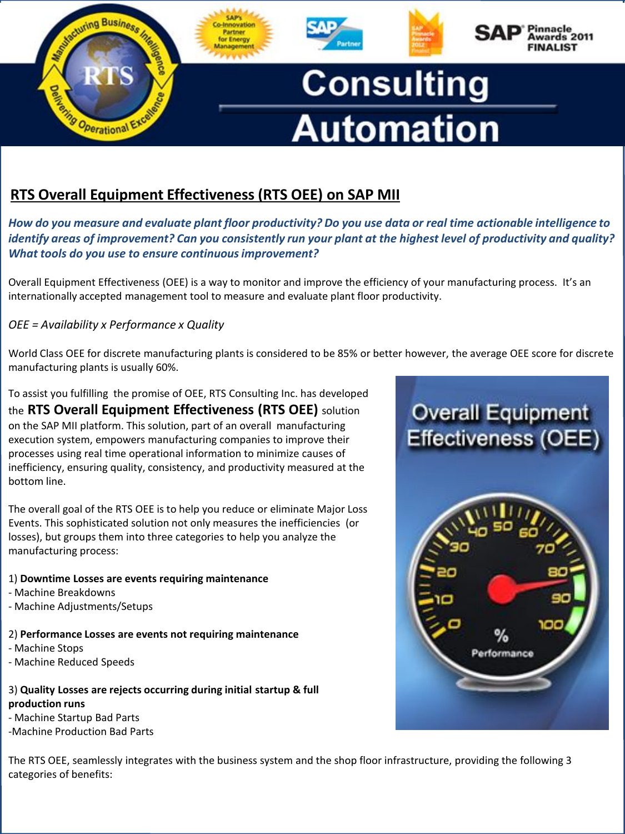

# **RTS Overall Equipment Effectiveness (RTS OEE) on SAP MII**

*How do you measure and evaluate plant floor productivity? Do you use data or real time actionable intelligence to identify areas of improvement? Can you consistently run your plant at the highest level of productivity and quality? What tools do you use to ensure continuous improvement?* 

Overall Equipment Effectiveness (OEE) is a way to monitor and improve the efficiency of your manufacturing process. It's an internationally accepted management tool to measure and evaluate plant floor productivity.

### *OEE = Availability x Performance x Quality*

World Class OEE for discrete manufacturing plants is considered to be 85% or better however, the average OEE score for discrete manufacturing plants is usually 60%.

To assist you fulfilling the promise of OEE, RTS Consulting Inc. has developed the **RTS Overall Equipment Effectiveness (RTS OEE)** solution on the SAP MII platform. This solution, part of an overall manufacturing execution system, empowers manufacturing companies to improve their processes using real time operational information to minimize causes of inefficiency, ensuring quality, consistency, and productivity measured at the bottom line.

The overall goal of the RTS OEE is to help you reduce or eliminate Major Loss Events. This sophisticated solution not only measures the inefficiencies (or losses), but groups them into three categories to help you analyze the manufacturing process:

#### 1) **Downtime Losses are events requiring maintenance**

- Machine Breakdowns
- Machine Adjustments/Setups

#### 2) **Performance Losses are events not requiring maintenance**

- Machine Stops
- Machine Reduced Speeds

#### 3) **Quality Losses are rejects occurring during initial startup & full production runs**

- Machine Startup Bad Parts
- -Machine Production Bad Parts

The RTS OEE, seamlessly integrates with the business system and the shop floor infrastructure, providing the following 3 categories of benefits: